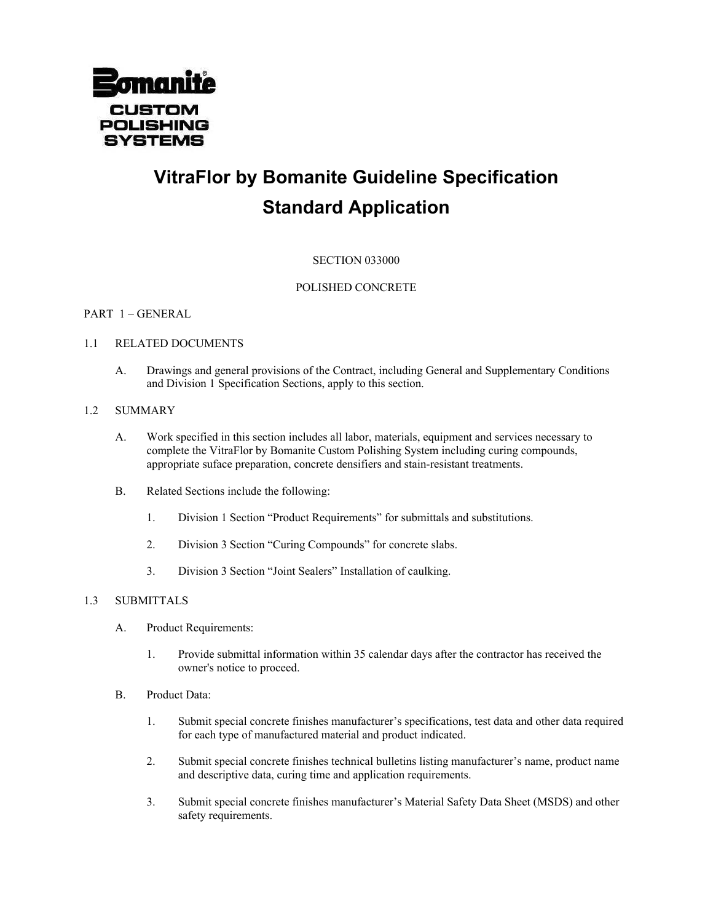

# **VitraFlor by Bomanite Guideline Specification Standard Application**

# SECTION 033000

## POLISHED CONCRETE

## PART 1 – GENERAL

## 1.1 RELATED DOCUMENTS

A. Drawings and general provisions of the Contract, including General and Supplementary Conditions and Division 1 Specification Sections, apply to this section.

#### 1.2 SUMMARY

- A. Work specified in this section includes all labor, materials, equipment and services necessary to complete the VitraFlor by Bomanite Custom Polishing System including curing compounds, appropriate suface preparation, concrete densifiers and stain-resistant treatments.
- B. Related Sections include the following:
	- 1. Division 1 Section "Product Requirements" for submittals and substitutions.
	- 2. Division 3 Section "Curing Compounds" for concrete slabs.
	- 3. Division 3 Section "Joint Sealers" Installation of caulking.

#### 1.3 SUBMITTALS

- A. Product Requirements:
	- 1. Provide submittal information within 35 calendar days after the contractor has received the owner's notice to proceed.
- B. Product Data:
	- 1. Submit special concrete finishes manufacturer's specifications, test data and other data required for each type of manufactured material and product indicated.
	- 2. Submit special concrete finishes technical bulletins listing manufacturer's name, product name and descriptive data, curing time and application requirements.
	- 3. Submit special concrete finishes manufacturer's Material Safety Data Sheet (MSDS) and other safety requirements.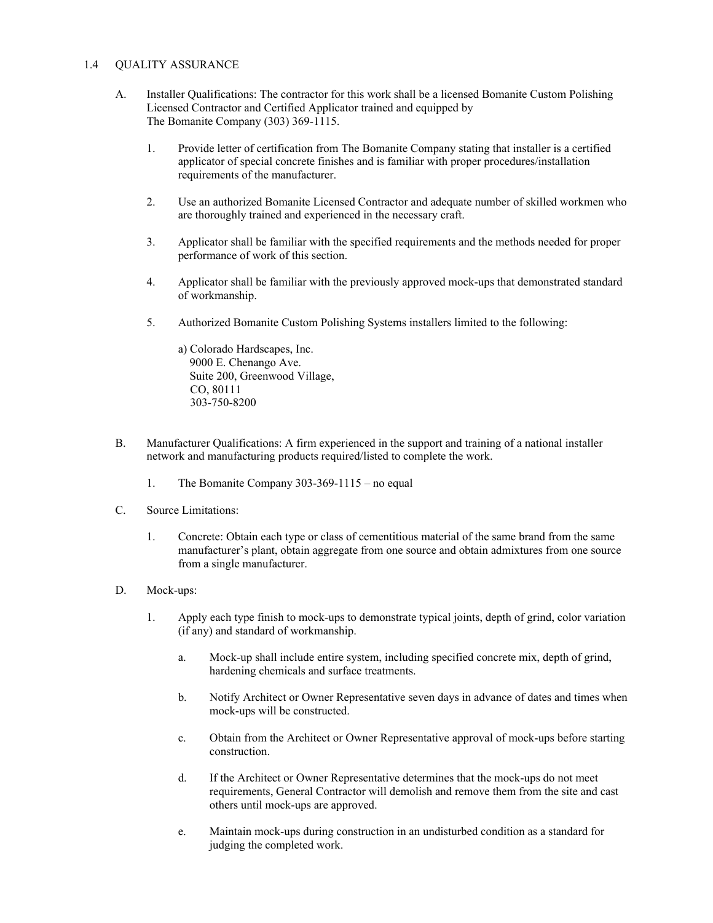### 1.4 QUALITY ASSURANCE

- A. Installer Qualifications: The contractor for this work shall be a licensed Bomanite Custom Polishing Licensed Contractor and Certified Applicator trained and equipped by The Bomanite Company (303) 369-1115.
	- 1. Provide letter of certification from The Bomanite Company stating that installer is a certified applicator of special concrete finishes and is familiar with proper procedures/installation requirements of the manufacturer.
	- 2. Use an authorized Bomanite Licensed Contractor and adequate number of skilled workmen who are thoroughly trained and experienced in the necessary craft.
	- 3. Applicator shall be familiar with the specified requirements and the methods needed for proper performance of work of this section.
	- 4. Applicator shall be familiar with the previously approved mock-ups that demonstrated standard of workmanship.
	- 5. Authorized Bomanite Custom Polishing Systems installers limited to the following:

a) Colorado Hardscapes, Inc. 9000 E. Chenango Ave. Suite 200, Greenwood Village, CO, 80111 303-750-8200

- B. Manufacturer Qualifications: A firm experienced in the support and training of a national installer network and manufacturing products required/listed to complete the work.
	- 1. The Bomanite Company 303-369-1115 no equal
- C. Source Limitations:
	- 1. Concrete: Obtain each type or class of cementitious material of the same brand from the same manufacturer's plant, obtain aggregate from one source and obtain admixtures from one source from a single manufacturer.
- D. Mock-ups:
	- 1. Apply each type finish to mock-ups to demonstrate typical joints, depth of grind, color variation (if any) and standard of workmanship.
		- a. Mock-up shall include entire system, including specified concrete mix, depth of grind, hardening chemicals and surface treatments.
		- b. Notify Architect or Owner Representative seven days in advance of dates and times when mock-ups will be constructed.
		- c. Obtain from the Architect or Owner Representative approval of mock-ups before starting construction.
		- d. If the Architect or Owner Representative determines that the mock-ups do not meet requirements, General Contractor will demolish and remove them from the site and cast others until mock-ups are approved.
		- e. Maintain mock-ups during construction in an undisturbed condition as a standard for judging the completed work.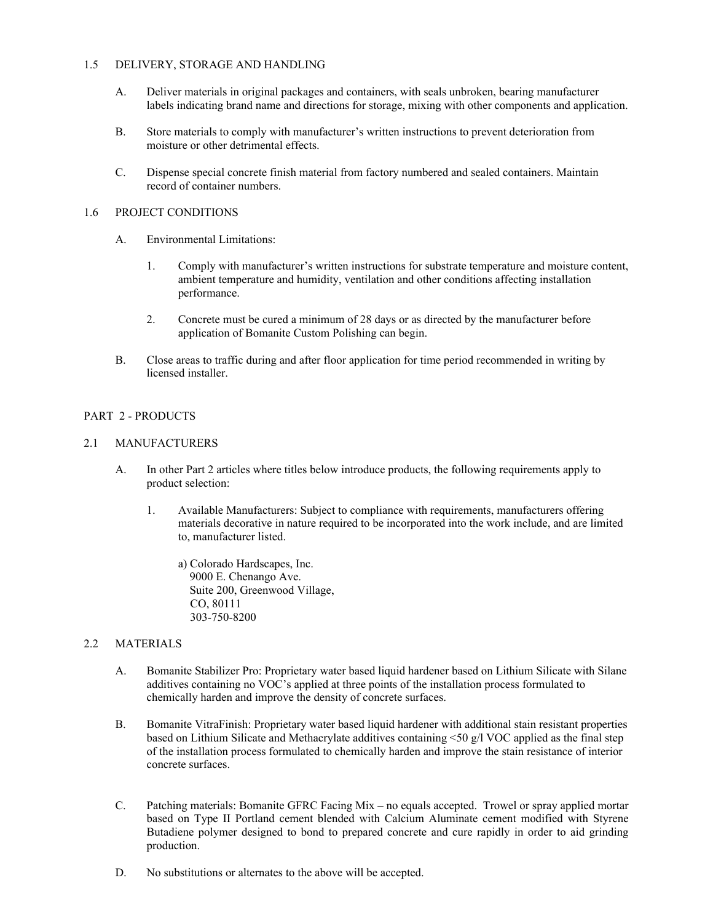### 1.5 DELIVERY, STORAGE AND HANDLING

- A. Deliver materials in original packages and containers, with seals unbroken, bearing manufacturer labels indicating brand name and directions for storage, mixing with other components and application.
- B. Store materials to comply with manufacturer's written instructions to prevent deterioration from moisture or other detrimental effects.
- C. Dispense special concrete finish material from factory numbered and sealed containers. Maintain record of container numbers.

## 1.6 PROJECT CONDITIONS

- A. Environmental Limitations:
	- 1. Comply with manufacturer's written instructions for substrate temperature and moisture content, ambient temperature and humidity, ventilation and other conditions affecting installation performance.
	- 2. Concrete must be cured a minimum of 28 days or as directed by the manufacturer before application of Bomanite Custom Polishing can begin.
- B. Close areas to traffic during and after floor application for time period recommended in writing by licensed installer.

## PART 2 - PRODUCTS

#### 2.1 MANUFACTURERS

- A. In other Part 2 articles where titles below introduce products, the following requirements apply to product selection:
	- 1. Available Manufacturers: Subject to compliance with requirements, manufacturers offering materials decorative in nature required to be incorporated into the work include, and are limited to, manufacturer listed.
		- a) Colorado Hardscapes, Inc. 9000 E. Chenango Ave. Suite 200, Greenwood Village, CO, 80111 303-750-8200

## 2.2 MATERIALS

- A. Bomanite Stabilizer Pro: Proprietary water based liquid hardener based on Lithium Silicate with Silane additives containing no VOC's applied at three points of the installation process formulated to chemically harden and improve the density of concrete surfaces.
- B. Bomanite VitraFinish: Proprietary water based liquid hardener with additional stain resistant properties based on Lithium Silicate and Methacrylate additives containing <50 g/l VOC applied as the final step of the installation process formulated to chemically harden and improve the stain resistance of interior concrete surfaces.
- C. Patching materials: Bomanite GFRC Facing Mix no equals accepted. Trowel or spray applied mortar based on Type II Portland cement blended with Calcium Aluminate cement modified with Styrene Butadiene polymer designed to bond to prepared concrete and cure rapidly in order to aid grinding production.
- D. No substitutions or alternates to the above will be accepted.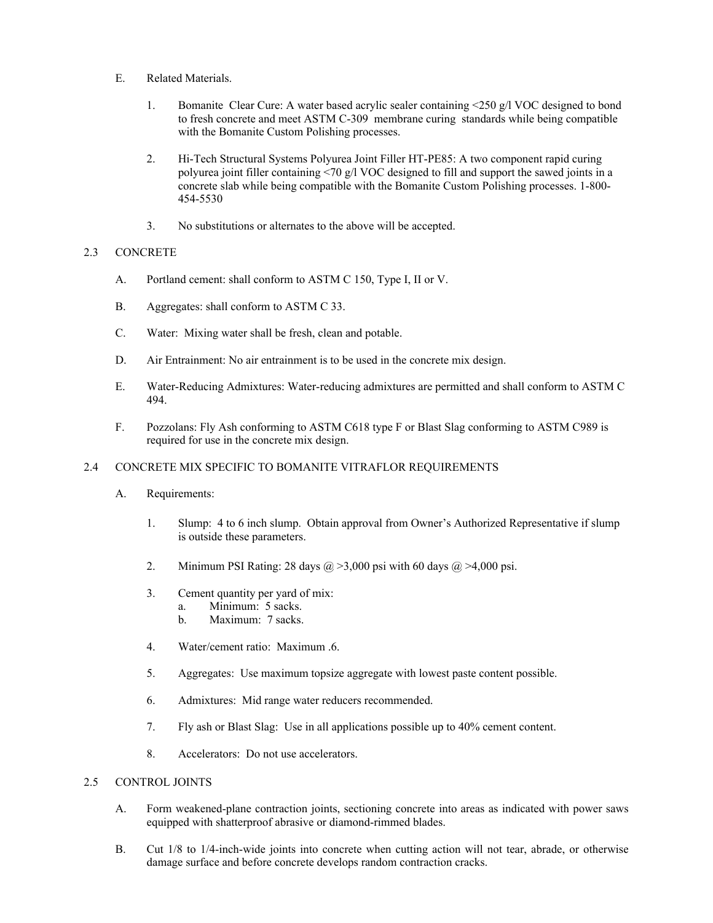- E. Related Materials.
	- 1. Bomanite Clear Cure: A water based acrylic sealer containing <250 g/l VOC designed to bond to fresh concrete and meet ASTM C-309 membrane curing standards while being compatible with the Bomanite Custom Polishing processes.
	- 2. Hi-Tech Structural Systems Polyurea Joint Filler HT-PE85: A two component rapid curing polyurea joint filler containing <70 g/l VOC designed to fill and support the sawed joints in a concrete slab while being compatible with the Bomanite Custom Polishing processes. 1-800- 454-5530
	- 3. No substitutions or alternates to the above will be accepted.

## 2.3 CONCRETE

- A. Portland cement: shall conform to ASTM C 150, Type I, II or V.
- B. Aggregates: shall conform to ASTM C 33.
- C. Water: Mixing water shall be fresh, clean and potable.
- D. Air Entrainment: No air entrainment is to be used in the concrete mix design.
- E. Water-Reducing Admixtures: Water-reducing admixtures are permitted and shall conform to ASTM C 494.
- F. Pozzolans: Fly Ash conforming to ASTM C618 type F or Blast Slag conforming to ASTM C989 is required for use in the concrete mix design.

#### 2.4 CONCRETE MIX SPECIFIC TO BOMANITE VITRAFLOR REQUIREMENTS

- A. Requirements:
	- 1. Slump: 4 to 6 inch slump. Obtain approval from Owner's Authorized Representative if slump is outside these parameters.
	- 2. Minimum PSI Rating: 28 days  $\omega > 3,000$  psi with 60 days  $\omega > 4,000$  psi.
	- 3. Cement quantity per yard of mix:
		- a. Minimum: 5 sacks. b. Maximum: 7 sacks.
	- 4. Water/cement ratio: Maximum .6.
	- 5. Aggregates: Use maximum topsize aggregate with lowest paste content possible.
	- 6. Admixtures: Mid range water reducers recommended.
	- 7. Fly ash or Blast Slag: Use in all applications possible up to 40% cement content.
	- 8. Accelerators: Do not use accelerators.

#### 2.5 CONTROL JOINTS

- A. Form weakened-plane contraction joints, sectioning concrete into areas as indicated with power saws equipped with shatterproof abrasive or diamond-rimmed blades.
- B. Cut 1/8 to 1/4-inch-wide joints into concrete when cutting action will not tear, abrade, or otherwise damage surface and before concrete develops random contraction cracks.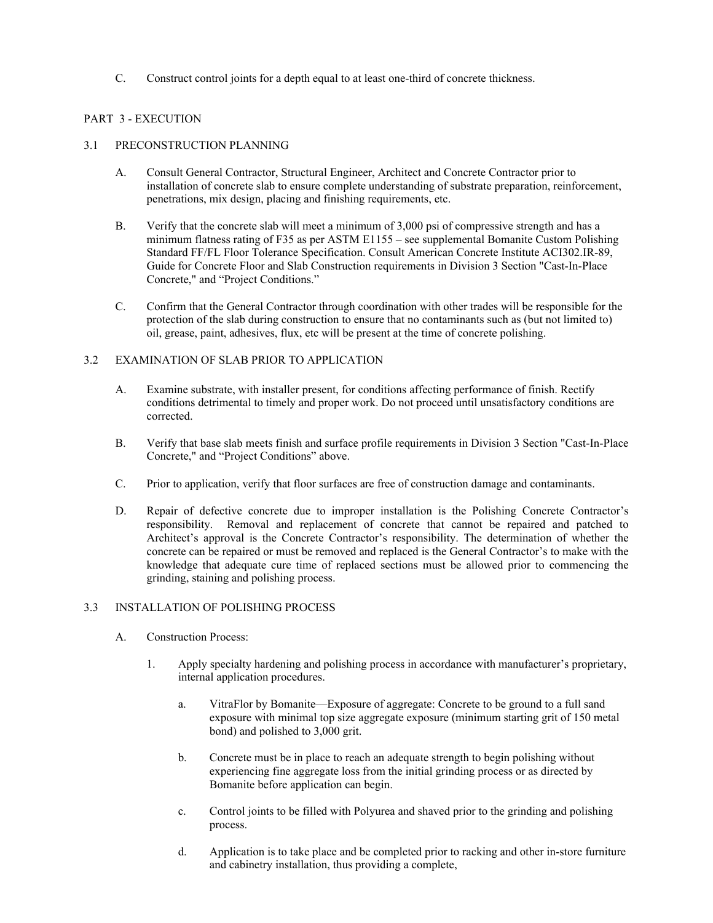C. Construct control joints for a depth equal to at least one-third of concrete thickness.

# PART 3 - EXECUTION

#### 3.1 PRECONSTRUCTION PLANNING

- A. Consult General Contractor, Structural Engineer, Architect and Concrete Contractor prior to installation of concrete slab to ensure complete understanding of substrate preparation, reinforcement, penetrations, mix design, placing and finishing requirements, etc.
- B. Verify that the concrete slab will meet a minimum of 3,000 psi of compressive strength and has a minimum flatness rating of F35 as per ASTM E1155 – see supplemental Bomanite Custom Polishing Standard FF/FL Floor Tolerance Specification. Consult American Concrete Institute ACI302.IR-89, Guide for Concrete Floor and Slab Construction requirements in Division 3 Section "Cast-In-Place Concrete," and "Project Conditions."
- C. Confirm that the General Contractor through coordination with other trades will be responsible for the protection of the slab during construction to ensure that no contaminants such as (but not limited to) oil, grease, paint, adhesives, flux, etc will be present at the time of concrete polishing.

## 3.2 EXAMINATION OF SLAB PRIOR TO APPLICATION

- A. Examine substrate, with installer present, for conditions affecting performance of finish. Rectify conditions detrimental to timely and proper work. Do not proceed until unsatisfactory conditions are corrected.
- B. Verify that base slab meets finish and surface profile requirements in Division 3 Section "Cast-In-Place Concrete," and "Project Conditions" above.
- C. Prior to application, verify that floor surfaces are free of construction damage and contaminants.
- D. Repair of defective concrete due to improper installation is the Polishing Concrete Contractor's responsibility. Removal and replacement of concrete that cannot be repaired and patched to Architect's approval is the Concrete Contractor's responsibility. The determination of whether the concrete can be repaired or must be removed and replaced is the General Contractor's to make with the knowledge that adequate cure time of replaced sections must be allowed prior to commencing the grinding, staining and polishing process.

## 3.3 INSTALLATION OF POLISHING PROCESS

- A. Construction Process:
	- 1. Apply specialty hardening and polishing process in accordance with manufacturer's proprietary, internal application procedures.
		- a. VitraFlor by Bomanite—Exposure of aggregate: Concrete to be ground to a full sand exposure with minimal top size aggregate exposure (minimum starting grit of 150 metal bond) and polished to 3,000 grit.
		- b. Concrete must be in place to reach an adequate strength to begin polishing without experiencing fine aggregate loss from the initial grinding process or as directed by Bomanite before application can begin.
		- c. Control joints to be filled with Polyurea and shaved prior to the grinding and polishing process.
		- d. Application is to take place and be completed prior to racking and other in-store furniture and cabinetry installation, thus providing a complete,